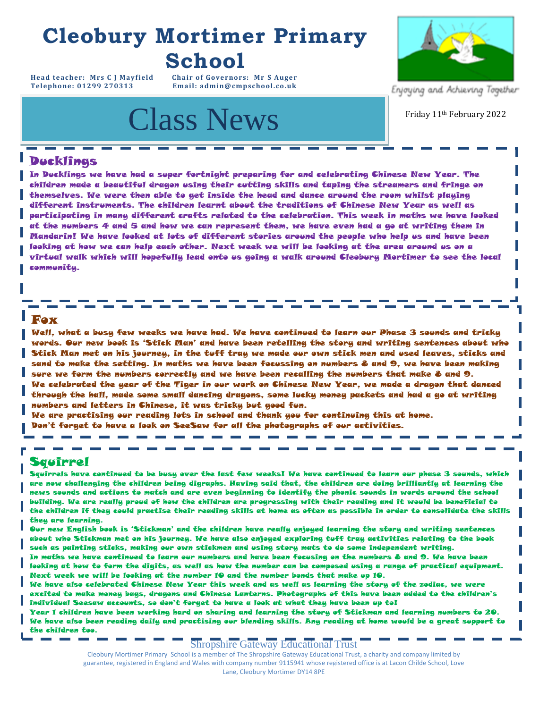### **Cleobury Mortimer Primary School**

**Head teacher: Mrs C J Mayfield Chair of Governors: Mr S Auger**  $Email: admin@cmpschool.co.uk$ 

## Class News Friday 11th February 2022



Enjoying and Achieving Together

#### Ducklings

In Ducklings we have had a super fortnight preparing for and celebrating Chinese New Year. The children made a beautiful dragon using their cutting skills and taping the streamers and fringe on themselves. We were then able to get inside the head and dance around the room whilst playing different instruments. The children learnt about the traditions of Chinese New Year as well as participating in many different crafts related to the celebration. This week in maths we have looked at the numbers 4 and 5 and how we can represent them, we have even had a go at writing them in Mandarin! We have looked at lots of different stories around the people who help us and have been looking at how we can help each other. Next week we will be looking at the area around us on a virtual walk which will hopefully lead onto us going a walk around Cleobury Mortimer to see the local communitu.

#### Fox

Well, what a busy few weeks we have had. We have continued to learn our Phase 3 sounds and tricky words. Our new book is 'Stick Man' and have been retelling the story and writing sentences about who Stick Man met on his journey, in the tuff tray we made our own stick men and used leaves, sticks and sand to make the setting. In maths we have been focussing on numbers 8 and 9, we have been making sure we form the numbers correctly and we have been recalling the numbers that make 8 and 9. We celebrated the year of the Tiger in our work on Chinese New Year, we made a dragon that danced through the hall, made some small dancing dragons, some lucky money packets and had a go at writing numbers and letters in Chinese, it was tricky but good fun.

We are practising our reading lots in school and thank you for continuing this at home. Don't forget to have a look on SeeSaw for all the photographs of our activities.

#### Squirrel

Squirrels have continued to be busy over the last few weeks! We have continued to learn our phase 3 sounds, which are now challenging the children being digraphs. Having said that, the children are doing brilliantly at learning the news sounds and actions to match and are even beginning to identify the phonic sounds in words around the school building. We are really proud of how the children are progressing with their reading and it would be beneficial to the children if they could practise their reading skills at home as often as possible in order to consolidate the skills they are learning.

the control of the control of

Our new English book is 'Stickman' and the children have really enjoyed learning the story and writing sentences about who Stickman met on his journey. We have also enjoyed exploring tuff tray activities relating to the book such as painting sticks, making our own stickmen and using story mats to do some independent writing.

In maths we have continued to learn our numbers and have been focusing on the numbers 8 and 9. We have been looking at how to form the digits, as well as how the number can be composed using a range of practical equipment. Next week we will be looking at the number 10 and the number bonds that make up 10.

We have also celebrated Chinese New Year this week and as well as learning the story of the zodiac, we were excited to make money bags, dragons and Chinese Lanterns. Photographs of this have been added to the children's individual Seesaw accounts, so don't forget to have a look at what they have been up to!

Year 1 children have been working hard on sharing and learning the story of Stickman and learning numbers to 20. We have also been reading daily and practising our blending skills. Any reading at home would be a great support to the children too.

Shropshire Gateway Educational Trust

Cleobury Mortimer Primary School is a member of The Shropshire Gateway Educational Trust, a charity and company limited by guarantee, registered in England and Wales with company number 9115941 whose registered office is at Lacon Childe School, Love<br>Lane, Cleobury Mortimer DY14 8PE Lane, Cleobury Mortimer DY14 8PE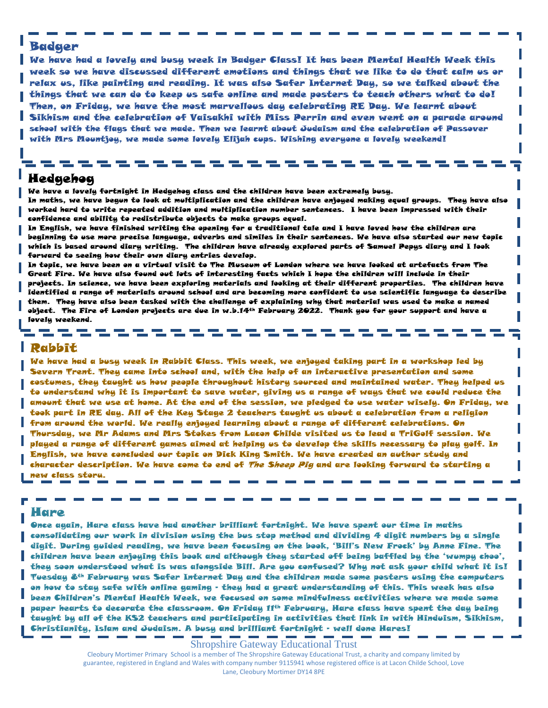#### Badger

school with the flags that we made. Then we learnt about Judaism and the celebration of .<br>with Mrs Mountjoy, we made some lovely Elijah cups. Wishing everyone a lovely weekend! We have had a lovely and busy week in Badger Class! It has been Mental Health Week this week so we have discussed different emotions and things that we like to do that calm us or relax us, like painting and reading. It was also Safer Internet Day, so we talked about the things that we can do to keep us safe online and made posters to teach others what to do! Then, on Friday, we have the most marvellous day celebrating RE Day. We learnt about Sikhism and the celebration of Vaisakhi with Miss Perrin and even went on a parade around school with the flags that we made. Then we learnt about Judaism and the celebration of Passover

#### **For your** Hedgehog

**Calendar:**  We have a lovely fortnight in Hedgehog class and the children have been extremely busy.

\_\_\_\_\_\_\_\_\_\_\_\_

In maths, we have begun to look at multiplication and the children have enjoyed making equal groups. They have also worked hard to write repeated addition and multiplication number sentences. I have been impressed with their confidence and ability to redistribute objects to make groups equal.

In English, we have finished writing the opening for a traditional tale and I have loved how the children are beginning to use more precise language, adverbs and similes in their sentences. We have also started our new topic which is based around diary writing. The children have already explored parts of Samuel Pepys diary and I look forward to seeing how their own diary entries develop.

In topic, we have been on a virtual visit to The Museum of London where we have looked at artefacts from The Great Fire. We have also found out lots of interesting facts which I hope the children will include in their projects. In science, we have been exploring materials and looking at their different properties. The children have identified a range of materials around school and are becoming more confident to use scientific language to describe them. They have also been tasked with the challenge of explaining why that material was used to make a named object. The Fire of London projects are due in w.b.14th February 2022. Thank you for your support and have a lovely weekend.

#### Rabbit

-------

We have had a busy week in Rabbit Class. This week, we enjoyed taking part in a workshop led by Severn Trent. They came into school and, with the help of an interactive presentation and some costumes, they taught us how people throughout history sourced and maintained water. They helped us to understand why it is important to save water, giving us a range of ways that we could reduce the amount that we use at home. At the end of the session, we pledged to use water wisely. On Friday, we took part in RE day. All of the Key Stage 2 teachers taught us about a celebration from a religion from around the world. We really enjoyed learning about a range of different celebrations. On Thursday, we Mr Adams and Mrs Stokes from Lacon Childe visited us to lead a TriGolf session. We played a range of different games aimed at helping us to develop the skills necessary to play golf. In English, we have concluded our topic on Dick King Smith. We have created an author study and character description. We have come to end of *The Sheep Pig* and are looking forward to starting a new class story.

#### Hare

Once again, Hare class have had another brilliant fortnight. We have spent our time in maths consolidating our work in division using the bus stop method and dividing 4 digit numbers by a single digit. During guided reading, we have been focusing on the book, 'Bill's New Frock' by Anne Fine. The children have been enjoying this book and although they started off being baffled by the 'wumpy choo', they soon understood what is was alongside Bill. Are you confused? Why not ask your child what it is! Tuesday 8th February was Safer Internet Day and the children made some posters using the computers on how to stay safe with online gaming – they had a great understanding of this. This week has also been Children's Mental Health Week, we focused on some mindfulness activities where we made some paper hearts to decorate the classroom. On Friday 11th February, Hare class have spent the day being taught by all of the KS2 teachers and participating in activities that link in with Hinduism, Sikhism, Christianity, Islam and Judaism. A busy and brilliant fortnight – well done Hares!

Shropshire Gateway Educational Trust

Cleobury Mortimer Primary School is a member of The Shropshire Gateway Educational Trust, a charity and company limited by guarantee, registered in England and Wales with company number 9115941 whose registered office is at Lacon Childe School, Love Lane, Cleobury Mortimer DY14 8PE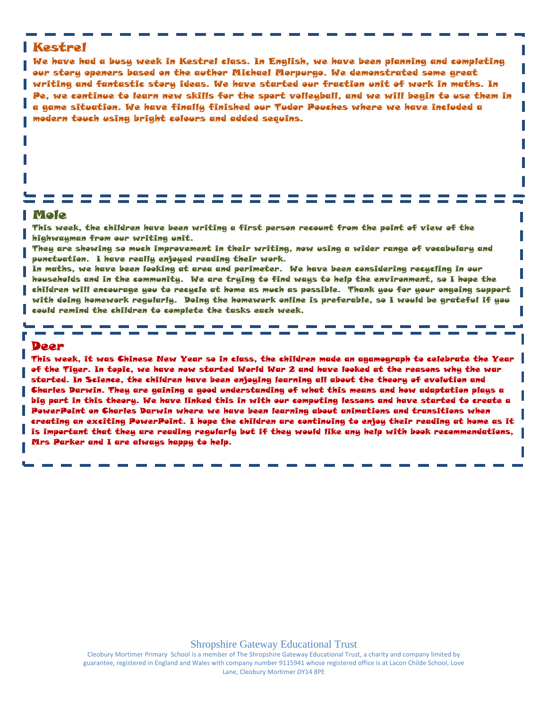#### Kestrel

We have had a busy week in Kestrel class. In English, we have been planning and completing our story openers based on the author Michael Morpurgo. We demonstrated some great writing and fantastic story ideas. We have started our fraction unit of work in maths. In Pe, we continue to learn new skills for the sport volleyball, and we will begin to use them in a game situation. We have finally finished our Tudor Pouches where we have included a modern touch using bright colours and added sequins.

#### Mole

This week, the children have been writing a first person recount from the point of view of the highwayman from our writing unit.

They are showing so much improvement in their writing, now using a wider range of vocabulary and punctuation. I have really enjoyed reading their work.

In maths, we have been looking at area and perimeter. We have been considering recycling in our households and in the community. We are trying to find ways to help the environment, so I hope the children will encourage you to recycle at home as much as possible. Thank you for your ongoing support with doing homework regularly. Doing the homework online is preferable, so I would be grateful if you could remind the children to complete the tasks each week.

#### Deer

This week, it was Chinese New Year so in class, the children made an agamograph to celebrate the Year of the Tiger. In topic, we have now started World War 2 and have looked at the reasons why the war started. In Science, the children have been enjoying learning all about the theory of evolution and Charles Darwin. They are gaining a good understanding of what this means and how adaptation plays a big part in this theory. We have linked this in with our computing lessons and have started to create a PowerPoint on Charles Darwin where we have been learning about animations and transitions when creating an exciting PowerPoint. I hope the children are continuing to enjoy their reading at home as it is important that they are reading regularly but if they would like any help with book recommendations, Mrs Parker and I are always happy to help.

Cleobury Mortimer Primary School is a member of The Shropshire Gateway Educational Trust, a charity and company limited by guarantee, registered in England and Wales with company number 9115941 whose registered office is at Lacon Childe School, Love Lane, Cleobury Mortimer DY14 8PE